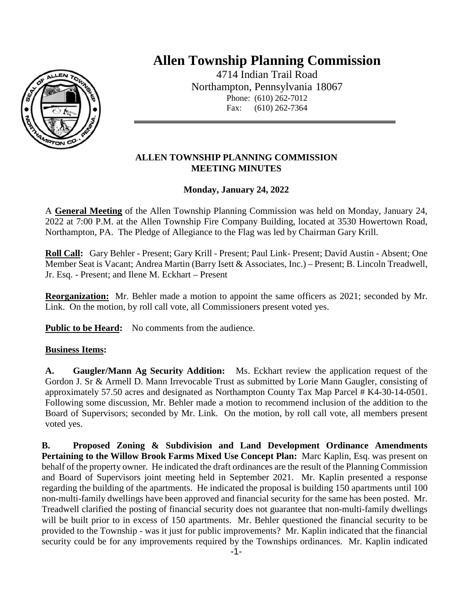

## **Allen Township Planning Commission**

4714 Indian Trail Road Northampton, Pennsylvania 18067 Phone: (610) 262-7012 Fax: (610) 262-7364

## **ALLEN TOWNSHIP PLANNING COMMISSION MEETING MINUTES**

## **Monday, January 24, 2022**

A **General Meeting** of the Allen Township Planning Commission was held on Monday, January 24, 2022 at 7:00 P.M. at the Allen Township Fire Company Building, located at 3530 Howertown Road, Northampton, PA. The Pledge of Allegiance to the Flag was led by Chairman Gary Krill.

**Roll Call:** Gary Behler - Present; Gary Krill - Present; Paul Link- Present; David Austin - Absent; One Member Seat is Vacant; Andrea Martin (Barry Isett & Associates, Inc.) – Present; B. Lincoln Treadwell, Jr. Esq. - Present; and Ilene M. Eckhart – Present

**Reorganization:** Mr. Behler made a motion to appoint the same officers as 2021; seconded by Mr. Link. On the motion, by roll call vote, all Commissioners present voted yes.

**Public to be Heard:** No comments from the audience.

## **Business Items:**

**A. Gaugler/Mann Ag Security Addition:** Ms. Eckhart review the application request of the Gordon J. Sr & Armell D. Mann Irrevocable Trust as submitted by Lorie Mann Gaugler, consisting of approximately 57.50 acres and designated as Northampton County Tax Map Parcel # K4-30-14-0501. Following some discussion, Mr. Behler made a motion to recommend inclusion of the addition to the Board of Supervisors; seconded by Mr. Link. On the motion, by roll call vote, all members present voted yes.

**B. Proposed Zoning & Subdivision and Land Development Ordinance Amendments Pertaining to the Willow Brook Farms Mixed Use Concept Plan:** Marc Kaplin, Esq. was present on behalf of the property owner. He indicated the draft ordinances are the result of the Planning Commission and Board of Supervisors joint meeting held in September 2021. Mr. Kaplin presented a response regarding the building of the apartments. He indicated the proposal is building 150 apartments until 100 non-multi-family dwellings have been approved and financial security for the same has been posted. Mr. Treadwell clarified the posting of financial security does not guarantee that non-multi-family dwellings will be built prior to in excess of 150 apartments. Mr. Behler questioned the financial security to be provided to the Township - was it just for public improvements? Mr. Kaplin indicated that the financial security could be for any improvements required by the Townships ordinances. Mr. Kaplin indicated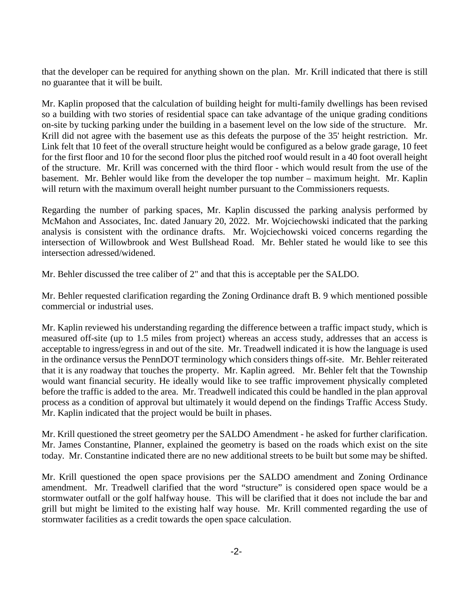that the developer can be required for anything shown on the plan. Mr. Krill indicated that there is still no guarantee that it will be built.

Mr. Kaplin proposed that the calculation of building height for multi-family dwellings has been revised so a building with two stories of residential space can take advantage of the unique grading conditions on-site by tucking parking under the building in a basement level on the low side of the structure. Mr. Krill did not agree with the basement use as this defeats the purpose of the 35' height restriction. Mr. Link felt that 10 feet of the overall structure height would be configured as a below grade garage, 10 feet for the first floor and 10 for the second floor plus the pitched roof would result in a 40 foot overall height of the structure. Mr. Krill was concerned with the third floor - which would result from the use of the basement. Mr. Behler would like from the developer the top number – maximum height. Mr. Kaplin will return with the maximum overall height number pursuant to the Commissioners requests.

Regarding the number of parking spaces, Mr. Kaplin discussed the parking analysis performed by McMahon and Associates, Inc. dated January 20, 2022. Mr. Wojciechowski indicated that the parking analysis is consistent with the ordinance drafts. Mr. Wojciechowski voiced concerns regarding the intersection of Willowbrook and West Bullshead Road. Mr. Behler stated he would like to see this intersection adressed/widened.

Mr. Behler discussed the tree caliber of 2" and that this is acceptable per the SALDO.

Mr. Behler requested clarification regarding the Zoning Ordinance draft B. 9 which mentioned possible commercial or industrial uses.

Mr. Kaplin reviewed his understanding regarding the difference between a traffic impact study, which is measured off-site (up to 1.5 miles from project) whereas an access study, addresses that an access is acceptable to ingress/egress in and out of the site. Mr. Treadwell indicated it is how the language is used in the ordinance versus the PennDOT terminology which considers things off-site. Mr. Behler reiterated that it is any roadway that touches the property. Mr. Kaplin agreed. Mr. Behler felt that the Township would want financial security. He ideally would like to see traffic improvement physically completed before the traffic is added to the area. Mr. Treadwell indicated this could be handled in the plan approval process as a condition of approval but ultimately it would depend on the findings Traffic Access Study. Mr. Kaplin indicated that the project would be built in phases.

Mr. Krill questioned the street geometry per the SALDO Amendment - he asked for further clarification. Mr. James Constantine, Planner, explained the geometry is based on the roads which exist on the site today. Mr. Constantine indicated there are no new additional streets to be built but some may be shifted.

Mr. Krill questioned the open space provisions per the SALDO amendment and Zoning Ordinance amendment. Mr. Treadwell clarified that the word "structure" is considered open space would be a stormwater outfall or the golf halfway house. This will be clarified that it does not include the bar and grill but might be limited to the existing half way house. Mr. Krill commented regarding the use of stormwater facilities as a credit towards the open space calculation.